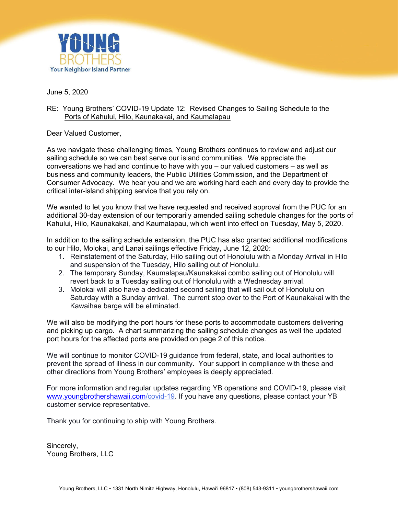

June 5, 2020

## RE: Young Brothers' COVID-19 Update 12: Revised Changes to Sailing Schedule to the Ports of Kahului, Hilo, Kaunakakai, and Kaumalapau

Dear Valued Customer,

As we navigate these challenging times, Young Brothers continues to review and adjust our sailing schedule so we can best serve our island communities. We appreciate the conversations we had and continue to have with you – our valued customers – as well as business and community leaders, the Public Utilities Commission, and the Department of Consumer Advocacy. We hear you and we are working hard each and every day to provide the critical inter-island shipping service that you rely on.

We wanted to let you know that we have requested and received approval from the PUC for an additional 30-day extension of our temporarily amended sailing schedule changes for the ports of Kahului, Hilo, Kaunakakai, and Kaumalapau, which went into effect on Tuesday, May 5, 2020.

In addition to the sailing schedule extension, the PUC has also granted additional modifications to our Hilo, Molokai, and Lanai sailings effective Friday, June 12, 2020:

- 1. Reinstatement of the Saturday, Hilo sailing out of Honolulu with a Monday Arrival in Hilo and suspension of the Tuesday, Hilo sailing out of Honolulu.
- 2. The temporary Sunday, Kaumalapau/Kaunakakai combo sailing out of Honolulu will revert back to a Tuesday sailing out of Honolulu with a Wednesday arrival.
- 3. Molokai will also have a dedicated second sailing that will sail out of Honolulu on Saturday with a Sunday arrival. The current stop over to the Port of Kaunakakai with the Kawaihae barge will be eliminated.

We will also be modifying the port hours for these ports to accommodate customers delivering and picking up cargo. A chart summarizing the sailing schedule changes as well the updated port hours for the affected ports are provided on page 2 of this notice.

We will continue to monitor COVID-19 guidance from federal, state, and local authorities to prevent the spread of illness in our community.Your support in compliance with these and other directions from Young Brothers' employees is deeply appreciated.

For more information and regular updates regarding YB operations and COVID-19, please visit www.youngbrothershawaii.com/covid-19. If you have any questions, please contact your YB customer service representative.

Thank you for continuing to ship with Young Brothers.

Sincerely, Young Brothers, LLC